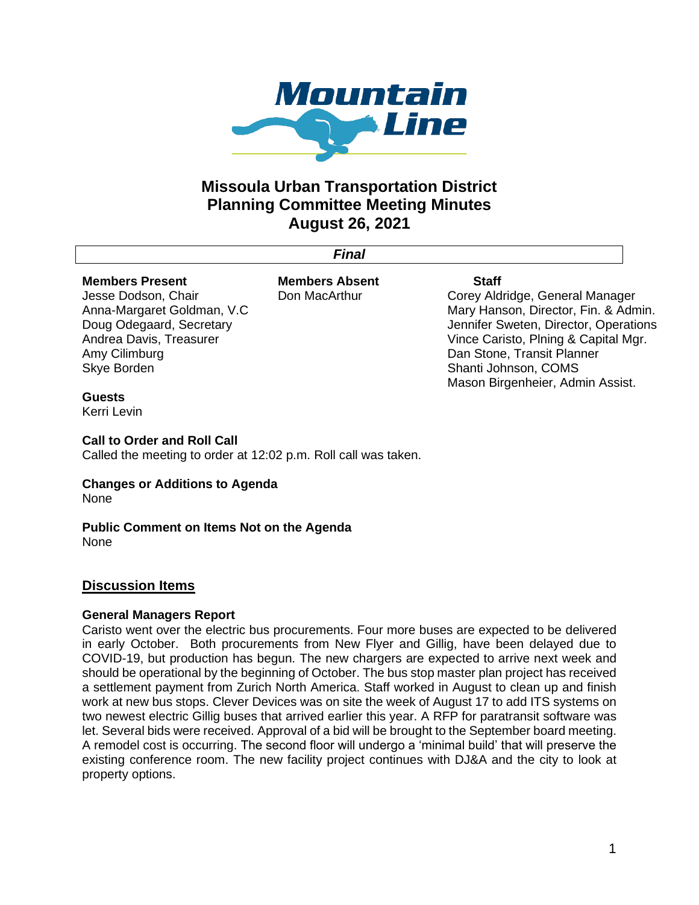

# **Missoula Urban Transportation District Planning Committee Meeting Minutes August 26, 2021**

*Final* 

## **Members Present**

Jesse Dodson, Chair Anna-Margaret Goldman, V.C Doug Odegaard, Secretary Andrea Davis, Treasurer Amy Cilimburg Skye Borden

**Members Absent** Don MacArthur

#### **Staff**

Corey Aldridge, General Manager Mary Hanson, Director, Fin. & Admin. Jennifer Sweten, Director, Operations Vince Caristo, Plning & Capital Mgr. Dan Stone, Transit Planner Shanti Johnson, COMS Mason Birgenheier, Admin Assist.

## **Guests**

Kerri Levin

## **Call to Order and Roll Call**

Called the meeting to order at 12:02 p.m. Roll call was taken.

## **Changes or Additions to Agenda** None

**Public Comment on Items Not on the Agenda** None

# **Discussion Items**

# **General Managers Report**

Caristo went over the electric bus procurements. Four more buses are expected to be delivered in early October. Both procurements from New Flyer and Gillig, have been delayed due to COVID-19, but production has begun. The new chargers are expected to arrive next week and should be operational by the beginning of October. The bus stop master plan project has received a settlement payment from Zurich North America. Staff worked in August to clean up and finish work at new bus stops. Clever Devices was on site the week of August 17 to add ITS systems on two newest electric Gillig buses that arrived earlier this year. A RFP for paratransit software was let. Several bids were received. Approval of a bid will be brought to the September board meeting. A remodel cost is occurring. The second floor will undergo a 'minimal build' that will preserve the existing conference room. The new facility project continues with DJ&A and the city to look at property options.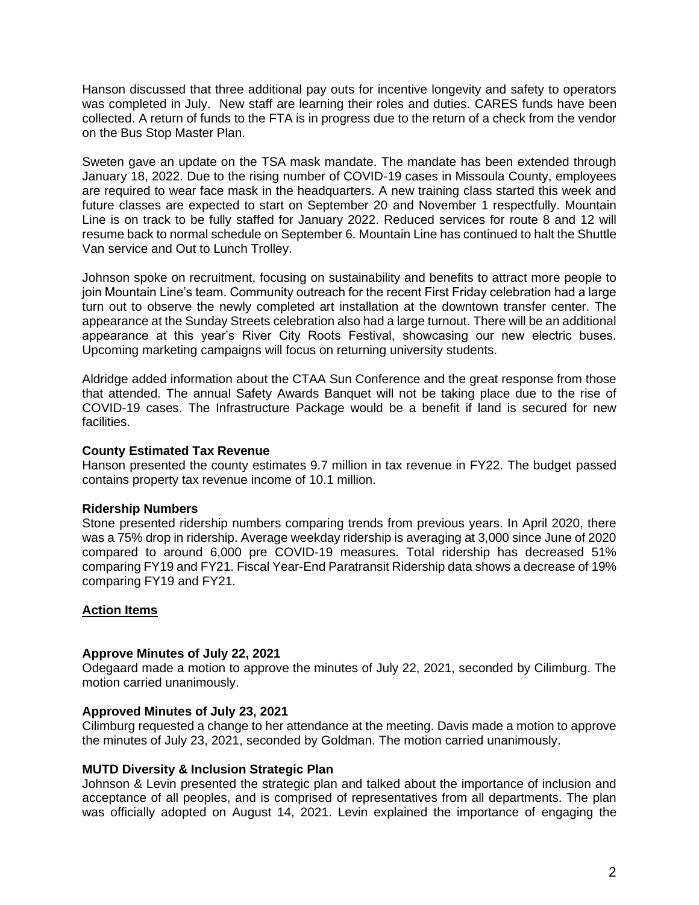Hanson discussed that three additional pay outs for incentive longevity and safety to operators was completed in July. New staff are learning their roles and duties. CARES funds have been collected. A return of funds to the FTA is in progress due to the return of a check from the vendor on the Bus Stop Master Plan.

Sweten gave an update on the TSA mask mandate. The mandate has been extended through January 18, 2022. Due to the rising number of COVID-19 cases in Missoula County, employees are required to wear face mask in the headquarters. A new training class started this week and future classes are expected to start on September 20 and November 1 respectfully. Mountain Line is on track to be fully staffed for January 2022. Reduced services for route 8 and 12 will resume back to normal schedule on September 6. Mountain Line has continued to halt the Shuttle Van service and Out to Lunch Trolley.

Johnson spoke on recruitment, focusing on sustainability and benefits to attract more people to join Mountain Line's team. Community outreach for the recent First Friday celebration had a large turn out to observe the newly completed art installation at the downtown transfer center. The appearance at the Sunday Streets celebration also had a large turnout. There will be an additional appearance at this year's River City Roots Festival, showcasing our new electric buses. Upcoming marketing campaigns will focus on returning university students.

Aldridge added information about the CTAA Sun Conference and the great response from those that attended. The annual Safety Awards Banquet will not be taking place due to the rise of COVID-19 cases. The Infrastructure Package would be a benefit if land is secured for new facilities.

#### **County Estimated Tax Revenue**

Hanson presented the county estimates 9.7 million in tax revenue in FY22. The budget passed contains property tax revenue income of 10.1 million.

## **Ridership Numbers**

Stone presented ridership numbers comparing trends from previous years. In April 2020, there was a 75% drop in ridership. Average weekday ridership is averaging at 3,000 since June of 2020 compared to around 6,000 pre COVID-19 measures. Total ridership has decreased 51% comparing FY19 and FY21. Fiscal Year-End Paratransit Ridership data shows a decrease of 19% comparing FY19 and FY21.

#### **Action Items**

#### **Approve Minutes of July 22, 2021**

Odegaard made a motion to approve the minutes of July 22, 2021, seconded by Cilimburg. The motion carried unanimously.

#### **Approved Minutes of July 23, 2021**

Cilimburg requested a change to her attendance at the meeting. Davis made a motion to approve the minutes of July 23, 2021, seconded by Goldman. The motion carried unanimously.

#### **MUTD Diversity & Inclusion Strategic Plan**

Johnson & Levin presented the strategic plan and talked about the importance of inclusion and acceptance of all peoples, and is comprised of representatives from all departments. The plan was officially adopted on August 14, 2021. Levin explained the importance of engaging the